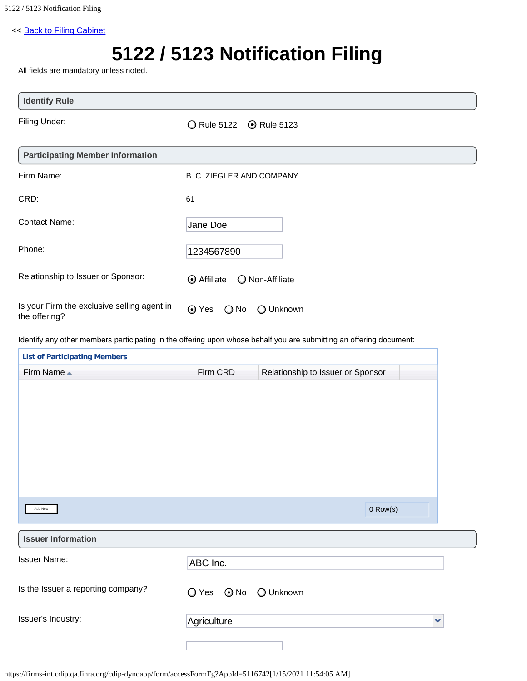## << [Back to Filing Cabinet](https://firms-int.cdip.qa.finra.org/cdip-cabinet/PrivateOfferingFiling)

## **5122 / 5123 Notification Filing**

All fields are mandatory unless noted.

| <b>Identify Rule</b>                                         |                                       |
|--------------------------------------------------------------|---------------------------------------|
| Filing Under:                                                | ◯ Rule 5122<br><b>⊙</b> Rule 5123     |
| <b>Participating Member Information</b>                      |                                       |
| Firm Name:                                                   | B. C. ZIEGLER AND COMPANY             |
| CRD:                                                         | 61                                    |
| <b>Contact Name:</b>                                         | Jane Doe                              |
| Phone:                                                       | 1234567890                            |
| Relationship to Issuer or Sponsor:                           | <b>⊙</b> Affiliate<br>O Non-Affiliate |
| Is your Firm the exclusive selling agent in<br>the offering? | ⊙ Yes<br>$\bigcirc$ No<br>O Unknown   |

Identify any other members participating in the offering upon whose behalf you are submitting an offering document:

| Firm CRD                     | Relationship to Issuer or Sponsor |  |            |
|------------------------------|-----------------------------------|--|------------|
|                              |                                   |  |            |
|                              |                                   |  |            |
|                              |                                   |  |            |
|                              |                                   |  |            |
|                              |                                   |  |            |
|                              |                                   |  |            |
|                              |                                   |  |            |
|                              |                                   |  |            |
|                              |                                   |  |            |
|                              |                                   |  |            |
|                              |                                   |  |            |
| ABC Inc.                     |                                   |  |            |
|                              |                                   |  |            |
| $\bigcirc$ Yes<br>$\odot$ No | O Unknown                         |  |            |
|                              |                                   |  |            |
| Agriculture                  |                                   |  | ×          |
|                              |                                   |  |            |
|                              |                                   |  | $0$ Row(s) |

https://firms-int.cdip.qa.finra.org/cdip-dynoapp/form/accessFormFg?AppId=5116742[1/15/2021 11:54:05 AM]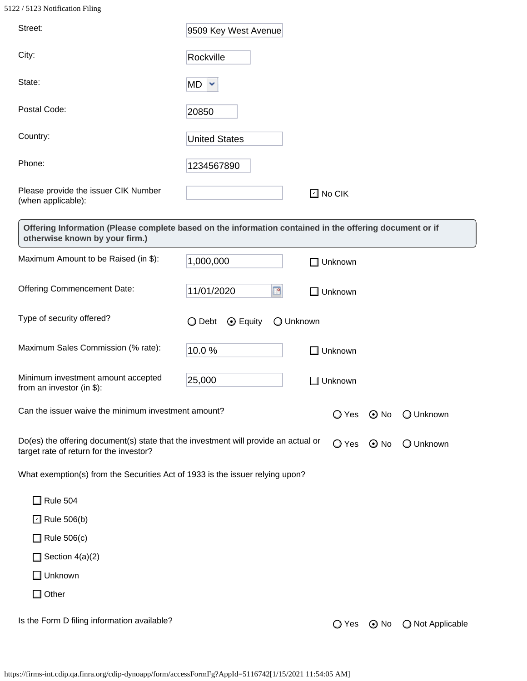5122 / 5123 Notification Filing

| Street:                                                                                                                                   | 9509 Key West Avenue                  |               |                |            |                  |
|-------------------------------------------------------------------------------------------------------------------------------------------|---------------------------------------|---------------|----------------|------------|------------------|
| City:                                                                                                                                     | Rockville                             |               |                |            |                  |
| State:                                                                                                                                    | MD<br>$\mathbf{\mathsf{v}}$           |               |                |            |                  |
| Postal Code:                                                                                                                              | 20850                                 |               |                |            |                  |
| Country:                                                                                                                                  | <b>United States</b>                  |               |                |            |                  |
| Phone:                                                                                                                                    | 1234567890                            |               |                |            |                  |
| Please provide the issuer CIK Number<br>(when applicable):                                                                                |                                       | $\Box$ No CIK |                |            |                  |
| Offering Information (Please complete based on the information contained in the offering document or if<br>otherwise known by your firm.) |                                       |               |                |            |                  |
| Maximum Amount to be Raised (in \$):                                                                                                      | 1,000,000                             |               | $\Box$ Unknown |            |                  |
| <b>Offering Commencement Date:</b>                                                                                                        | 11/01/2020<br>⊡                       |               | $\Box$ Unknown |            |                  |
| Type of security offered?                                                                                                                 | ◯ Debt<br>$\odot$ Equity<br>O Unknown |               |                |            |                  |
| Maximum Sales Commission (% rate):                                                                                                        | 10.0%                                 | -1            | Unknown        |            |                  |
| Minimum investment amount accepted<br>from an investor (in \$):                                                                           | 25,000                                | - 1           | Unknown        |            |                  |
| Can the issuer waive the minimum investment amount?                                                                                       |                                       |               | O Yes          | $\odot$ No | O Unknown        |
| Do(es) the offering document(s) state that the investment will provide an actual or<br>target rate of return for the investor?            |                                       |               | $\bigcirc$ Yes | $\odot$ No | O Unknown        |
| What exemption(s) from the Securities Act of 1933 is the issuer relying upon?                                                             |                                       |               |                |            |                  |
| $\Box$ Rule 504                                                                                                                           |                                       |               |                |            |                  |
| $\Box$ Rule 506(b)                                                                                                                        |                                       |               |                |            |                  |
| $\Box$ Rule 506(c)                                                                                                                        |                                       |               |                |            |                  |
| Section $4(a)(2)$<br>$\Box$                                                                                                               |                                       |               |                |            |                  |
| $\Box$ Unknown                                                                                                                            |                                       |               |                |            |                  |
| $\Box$ Other                                                                                                                              |                                       |               |                |            |                  |
| Is the Form D filing information available?                                                                                               |                                       |               | ◯ Yes          | $\odot$ No | ◯ Not Applicable |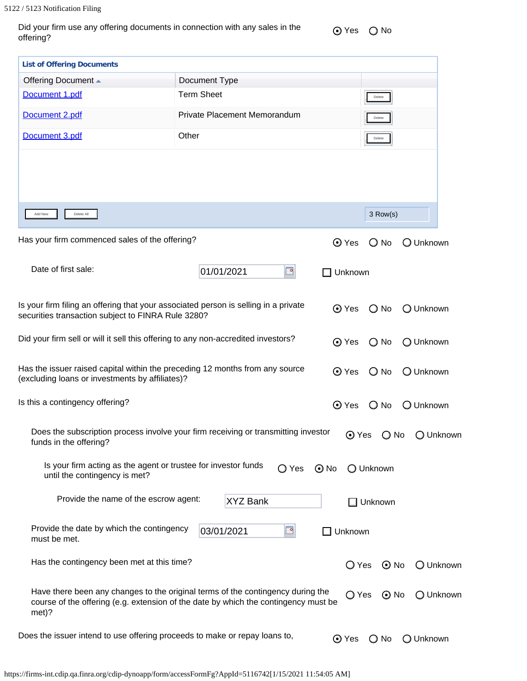| Did your firm use any offering documents in connection with any sales in the |  |
|------------------------------------------------------------------------------|--|
| offering?                                                                    |  |

e ores Ono

| <b>List of Offering Documents</b>                                                                                                                                               |                              |                |               |           |
|---------------------------------------------------------------------------------------------------------------------------------------------------------------------------------|------------------------------|----------------|---------------|-----------|
| Offering Document ▲                                                                                                                                                             | Document Type                |                |               |           |
| Document 1.pdf                                                                                                                                                                  | <b>Term Sheet</b>            |                | Delete        |           |
| Document 2.pdf                                                                                                                                                                  | Private Placement Memorandum |                | Delete        |           |
| Document 3.pdf                                                                                                                                                                  | Other                        |                | Delete        |           |
|                                                                                                                                                                                 |                              |                |               |           |
|                                                                                                                                                                                 |                              |                |               |           |
| Delete All<br>Add New                                                                                                                                                           |                              |                | 3 Row(s)      |           |
| Has your firm commenced sales of the offering?                                                                                                                                  |                              | $\odot$ Yes    | $\bigcirc$ No | O Unknown |
| Date of first sale:                                                                                                                                                             | 01/01/2021<br>⊡              | Unknown        |               |           |
|                                                                                                                                                                                 |                              |                |               |           |
| Is your firm filing an offering that your associated person is selling in a private<br>securities transaction subject to FINRA Rule 3280?                                       |                              | $\odot$ Yes    | $\bigcirc$ No | O Unknown |
| Did your firm sell or will it sell this offering to any non-accredited investors?                                                                                               |                              | ⊙ Yes          | $\bigcirc$ No | O Unknown |
| Has the issuer raised capital within the preceding 12 months from any source<br>(excluding loans or investments by affiliates)?                                                 |                              | $\odot$ Yes    | $\bigcirc$ No | O Unknown |
| Is this a contingency offering?                                                                                                                                                 |                              | ⊙ Yes          | $\bigcirc$ No | O Unknown |
| Does the subscription process involve your firm receiving or transmitting investor<br>funds in the offering?                                                                    |                              | ⊙ Yes          | $\bigcirc$ No | ○ Unknown |
| Is your firm acting as the agent or trustee for investor funds<br>until the contingency is met?                                                                                 | ◯ Yes                        | $\odot$ No     | O Unknown     |           |
| Provide the name of the escrow agent:                                                                                                                                           | <b>XYZ Bank</b>              |                | ∃ Unknown     |           |
| Provide the date by which the contingency<br>must be met.                                                                                                                       | 03/01/2021<br>⊡              | Unknown        |               |           |
| Has the contingency been met at this time?                                                                                                                                      |                              | $\bigcirc$ Yes | $\odot$ No    | O Unknown |
| Have there been any changes to the original terms of the contingency during the<br>course of the offering (e.g. extension of the date by which the contingency must be<br>met)? |                              | O Yes          | $\odot$ No    | O Unknown |
| Does the issuer intend to use offering proceeds to make or repay loans to,                                                                                                      |                              | ⊙ Yes          | $\bigcirc$ No | ○ Unknown |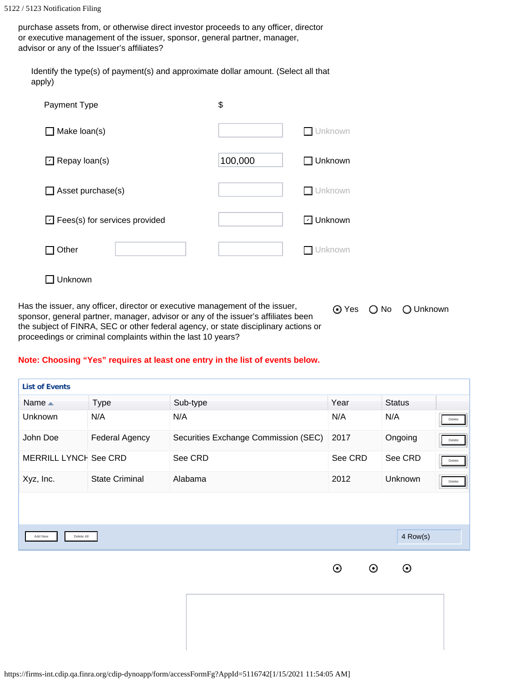purchase assets from, or otherwise direct investor proceeds to any officer, director or executive management of the issuer, sponsor, general partner, manager, advisor or any of the Issuer's affiliates?

Identify the type(s) of payment(s) and approximate dollar amount. (Select all that apply)

| Payment Type                         | \$      |           |
|--------------------------------------|---------|-----------|
| Make loan(s)                         |         | Unknown   |
| $\Box$ Repay loan(s)                 | 100,000 | Unknown   |
| Asset purchase(s)                    |         | Unknown   |
| $\Box$ Fees(s) for services provided |         | ⊡ Unknown |
| Other                                |         | Unknown   |
| Unknown                              |         |           |

Has the issuer, any officer, director or executive management of the issuer, sponsor, general partner, manager, advisor or any of the issuer's affiliates been the subject of FINRA, SEC or other federal agency, or state disciplinary actions or proceedings or criminal complaints within the last 10 years?

⊙ Yes 
○ No 
○ Unknown

4 Row(s)

## **Note: Choosing "Yes" requires at least one entry in the list of events below.**

| <b>List of Events</b> |                       |                                      |         |                |        |
|-----------------------|-----------------------|--------------------------------------|---------|----------------|--------|
| Name $\triangle$      | <b>Type</b>           | Sub-type                             | Year    | <b>Status</b>  |        |
| Unknown               | N/A                   | N/A                                  | N/A     | N/A            | Delete |
| John Doe              | <b>Federal Agency</b> | Securities Exchange Commission (SEC) | 2017    | Ongoing        | Delete |
| MERRILL LYNCH See CRD |                       | See CRD                              | See CRD | See CRD        | Delete |
| Xyz, Inc.             | <b>State Criminal</b> | Alabama                              | 2012    | <b>Unknown</b> | Delete |
|                       |                       |                                      |         |                |        |
|                       |                       |                                      |         |                |        |